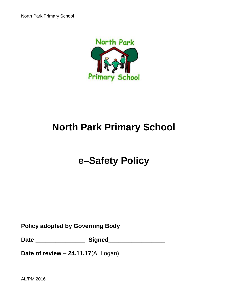

# **e–Safety Policy**

**Policy adopted by Governing Body**

**Date \_\_\_\_\_\_\_\_\_\_\_\_\_\_\_ Signed\_\_\_\_\_\_\_\_\_\_\_\_\_\_\_\_\_**

**Date of review – 24.11.17**(A. Logan)

AL/PM 2016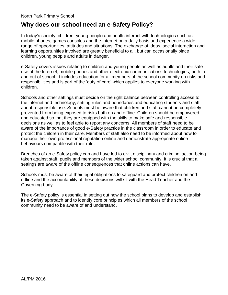#### **Why does our school need an e-Safety Policy?**

In today's society, children, young people and adults interact with technologies such as mobile phones, games consoles and the Internet on a daily basis and experience a wide range of opportunities, attitudes and situations. The exchange of ideas, social interaction and learning opportunities involved are greatly beneficial to all, but can occasionally place children, young people and adults in danger.

e-Safety covers issues relating to children and young people as well as adults and their safe use of the Internet, mobile phones and other electronic communications technologies, both in and out of school. It includes education for all members of the school community on risks and responsibilities and is part of the 'duty of care' which applies to everyone working with children.

Schools and other settings must decide on the right balance between controlling access to the internet and technology, setting rules and boundaries and educating students and staff about responsible use. Schools must be aware that children and staff cannot be completely prevented from being exposed to risks both on and offline. Children should be empowered and educated so that they are equipped with the skills to make safe and responsible decisions as well as to feel able to report any concerns. All members of staff need to be aware of the importance of good e-Safety practice in the classroom in order to educate and protect the children in their care. Members of staff also need to be informed about how to manage their own professional reputation online and demonstrate appropriate online behaviours compatible with their role.

Breaches of an e-Safety policy can and have led to civil, disciplinary and criminal action being taken against staff, pupils and members of the wider school community. It is crucial that all settings are aware of the offline consequences that online actions can have.

Schools must be aware of their legal obligations to safeguard and protect children on and offline and the accountability of these decisions will sit with the Head Teacher and the Governing body.

The e-Safety policy is essential in setting out how the school plans to develop and establish its e-Safety approach and to identify core principles which all members of the school community need to be aware of and understand.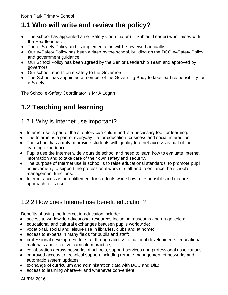# **1.1 Who will write and review the policy?**

- **●** The school has appointed an e–Safety Coordinator (IT Subject Leader) who liaises with the Headteacher.
- **●** The e–Safety Policy and its implementation will be reviewed annually.
- **●** Our e–Safety Policy has been written by the school, building on the DCC e–Safety Policy and government guidance.
- **●** Our School Policy has been agreed by the Senior Leadership Team and approved by governors
- **●** Our school reports on e-safety to the Governors.
- **●** The School has appointed a member of the Governing Body to take lead responsibility for e-Safety

The School e-Safety Coordinator is Mr A Logan

# **1.2 Teaching and learning**

#### 1.2.1 Why is Internet use important?

- **●** Internet use is part of the statutory curriculum and is a necessary tool for learning.
- **●** The Internet is a part of everyday life for education, business and social interaction.
- **●** The school has a duty to provide students with quality Internet access as part of their learning experience.
- **●** Pupils use the Internet widely outside school and need to learn how to evaluate Internet information and to take care of their own safety and security.
- **●** The purpose of Internet use in school is to raise educational standards, to promote pupil achievement, to support the professional work of staff and to enhance the school's management functions.
- **●** Internet access is an entitlement for students who show a responsible and mature approach to its use.

#### 1.2.2 How does Internet use benefit education?

Benefits of using the Internet in education include:

- **●** access to worldwide educational resources including museums and art galleries;
- **●** educational and cultural exchanges between pupils worldwide;
- **●** vocational, social and leisure use in libraries, clubs and at home;
- **●** access to experts in many fields for pupils and staff;
- **●** professional development for staff through access to national developments, educational materials and effective curriculum practice;
- **●** collaboration across networks of schools, support services and professional associations;
- **●** improved access to technical support including remote management of networks and automatic system updates;
- **●** exchange of curriculum and administration data with DCC and DfE;
- **●** access to learning wherever and whenever convenient.

AL/PM 2016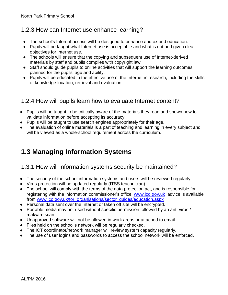#### 1.2.3 How can Internet use enhance learning?

- **●** The school's Internet access will be designed to enhance and extend education.
- **●** Pupils will be taught what Internet use is acceptable and what is not and given clear objectives for Internet use.
- **●** The schools will ensure that the copying and subsequent use of Internet-derived materials by staff and pupils complies with copyright law.
- **●** Staff should guide pupils to online activities that will support the learning outcomes planned for the pupils' age and ability.
- **●** Pupils will be educated in the effective use of the Internet in research, including the skills of knowledge location, retrieval and evaluation.

### 1.2.4 How will pupils learn how to evaluate Internet content?

- **●** Pupils will be taught to be critically aware of the materials they read and shown how to validate information before accepting its accuracy.
- **●** Pupils will be taught to use search engines appropriately for their age.
- **●** The evaluation of online materials is a part of teaching and learning in every subject and will be viewed as a whole-school requirement across the curriculum.

# **1.3 Managing Information Systems**

#### 1.3.1 How will information systems security be maintained?

- **●** The security of the school information systems and users will be reviewed regularly.
- **●** Virus protection will be updated regularly.(ITSS teachnician)
- **●** The school will comply with the terms of the data protection act, and is responsible for registering with the information commissioner's office. [www.ico.gov.uk](http://www.ico.gov.uk/) advice is available from [www.ico.gov.uk/for\\_organisations/sector\\_guides/education.aspx](http://www.ico.gov.uk/for_organisations/sector_guides/education.aspx)
- **●** Personal data sent over the Internet or taken off site will be encrypted.
- **●** Portable media may not used without specific permission followed by an anti-virus / malware scan.
- **●** Unapproved software will not be allowed in work areas or attached to email.
- **●** Files held on the school's network will be regularly checked.
- **●** The ICT coordinator/network manager will review system capacity regularly.
- **●** The use of user logins and passwords to access the school network will be enforced.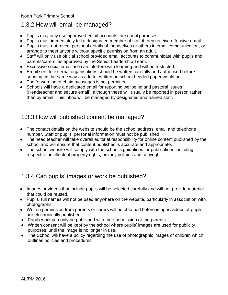#### 1.3.2 How will email be managed?

- **●** Pupils may only use approved email accounts for school purposes.
- **●** Pupils must immediately tell a designated member of staff if they receive offensive email.
- **●** Pupils must not reveal personal details of themselves or others in email communication, or arrange to meet anyone without specific permission from an adult.
- **●** Staff will only use official school provided email accounts to communicate with pupils and parents/carers, as approved by the Senior Leadership Team.
- **●** Excessive social email use can interfere with learning and will be restricted.
- **●** Email sent to external organisations should be written carefully and authorised before sending, in the same way as a letter written on school headed paper would be.
- **●** The forwarding of chain messages is not permitted.
- **●** Schools will have a dedicated email for reporting wellbeing and pastoral issues (Headteacher and secure email), although these will usually be reported in person rather than by email. This inbox will be managed by designated and trained staff.

#### 1.3.3 How will published content be managed?

- **●** The contact details on the website should be the school address, email and telephone number. Staff or pupils' personal information must not be published.
- **●** The head teacher will take overall editorial responsibility for online content published by the school and will ensure that content published is accurate and appropriate.
- **●** The school website will comply with the school's guidelines for publications including respect for intellectual property rights, privacy policies and copyright.

#### 1.3.4 Can pupils' images or work be published?

- **●** Images or videos that include pupils will be selected carefully and will not provide material that could be reused.
- **●** Pupils' full names will not be used anywhere on the website, particularly in association with photographs.
- **●** Written permission from parents or carers will be obtained before images/videos of pupils are electronically published.
- Pupils work can only be published with their permission or the parents.
- Written consent will be kept by the school where pupils' images are used for publicity purposes, until the image is no longer in use.
- The School will have a policy regarding the use of photographic images of children which outlines policies and procedures.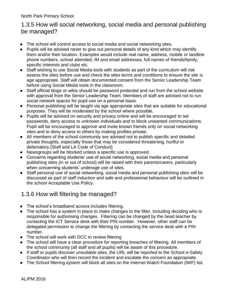#### 1.3.5 How will social networking, social media and personal publishing be managed?

- **●** The school will control access to social media and social networking sites.
- **●** Pupils will be advised never to give out personal details of any kind which may identify them and/or their location. Examples would include real name, address, mobile or landline phone numbers, school attended, IM and email addresses, full names of friends/family, specific interests and clubs etc.
- **●** Staff wishing to use Social Media tools with students as part of the curriculum will risk assess the sites before use and check the sites terms and conditions to ensure the site is age appropriate. Staff will obtain documented consent from the Senior Leadership Team before using Social Media tools in the classroom.
- **●** Staff official blogs or wikis should be password protected and run from the school website with approval from the Senior Leadership Team. Members of staff are advised not to run social network spaces for pupil use on a personal basis.
- **●** Personal publishing will be taught via age appropriate sites that are suitable for educational purposes. They will be moderated by the school where possible.
- **●** Pupils will be advised on security and privacy online and will be encouraged to set passwords, deny access to unknown individuals and to block unwanted communications. Pupil will be encouraged to approve and invite known friends only on social networking sites and to deny access to others by making profiles private.
- **●** All members of the school community are advised not to publish specific and detailed private thoughts, especially those that may be considered threatening, hurtful or defamatory.(Staff and LA Code of Conduct)
- **●** Newsgroups will be blocked unless a specific use is approved.
- **●** Concerns regarding students' use of social networking, social media and personal publishing sites (in or out of school) will be raised with their parents/carers, particularly when concerning students' underage use of sites.
- **●** Staff personal use of social networking, social media and personal publishing sites will be discussed as part of staff induction and safe and professional behaviour will be outlined in the school Acceptable Use Policy.

#### 1.3.6 How will filtering be managed?

- **●** The school's broadband access includes filtering.
- **●** The school has a system in place to make changes to the filter, including deciding who is responsible for authorising changes. Filtering can be changed by the head teacher by contacting the ICT Service desk with their PIN number. However, other staff can be delegated permission to change the filtering by contacting the service desk with a PIN number.
- **●** The school will work with DCC to review filtering
- **●** The school will have a clear procedure for reporting breaches of filtering. All members of the school community (all staff and all pupils) will be aware of this procedure.
- **●** If staff or pupils discover unsuitable sites, the URL will be reported to the School e-Safety Coordinator who will then record the incident and escalate the concern as appropriate.
- **●** The School filtering system will block all sites on the Internet Watch Foundation (IWF) list.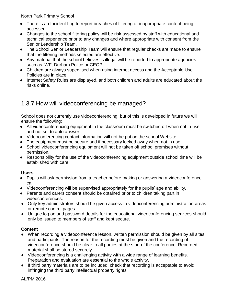- **●** There is an Incident Log to report breaches of filtering or inappropriate content being accessed.
- **●** Changes to the school filtering policy will be risk assessed by staff with educational and technical experience prior to any changes and where appropriate with consent from the Senior Leadership Team.
- **●** The School Senior Leadership Team will ensure that regular checks are made to ensure that the filtering methods selected are effective.
- **●** Any material that the school believes is illegal will be reported to appropriate agencies such as IWF, Durham Police or CEOP
- **●** Children are always supervised when using internet access and the Acceptable Use Policies are in place.
- **●** Internet Safety Rules are displayed, and both children and adults are educated about the risks online.

#### 1.3.7 How will videoconferencing be managed?

School does not currently use vidoeconferencing, but of this is developed in future we will ensure the following:

- **●** All videoconferencing equipment in the classroom must be switched off when not in use and not set to auto answer.
- **●** Videoconferencing contact information will not be put on the school Website.
- **●** The equipment must be secure and if necessary locked away when not in use.
- **●** School videoconferencing equipment will not be taken off school premises without permission.
- **●** Responsibility for the use of the videoconferencing equipment outside school time will be established with care.

#### **Users**

- **●** Pupils will ask permission from a teacher before making or answering a videoconference call.
- **●** Videoconferencing will be supervised appropriately for the pupils' age and ability.
- **●** Parents and carers consent should be obtained prior to children taking part in videoconferences.
- Only key administrators should be given access to videoconferencing administration areas or remote control pages.
- Unique log on and password details for the educational videoconferencing services should only be issued to members of staff and kept secure.

#### **Content**

- When recording a videoconference lesson, written permission should be given by all sites and participants. The reason for the recording must be given and the recording of videoconference should be clear to all parties at the start of the conference. Recorded material shall be stored securely.
- Videoconferencing is a challenging activity with a wide range of learning benefits. Preparation and evaluation are essential to the whole activity.
- If third party materials are to be included, check that recording is acceptable to avoid infringing the third party intellectual property rights.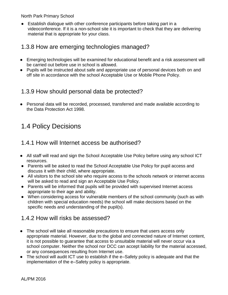● Establish dialogue with other conference participants before taking part in a videoconference. If it is a non-school site it is important to check that they are delivering material that is appropriate for your class.

#### 1.3.8 How are emerging technologies managed?

- **●** Emerging technologies will be examined for educational benefit and a risk assessment will be carried out before use in school is allowed.
- **●** Pupils will be instructed about safe and appropriate use of personal devices both on and off site in accordance with the school Acceptable Use or Mobile Phone Policy.

#### 1.3.9 How should personal data be protected?

**●** Personal data will be recorded, processed, transferred and made available according to the Data Protection Act 1998.

## 1.4 Policy Decisions

#### 1.4.1 How will Internet access be authorised?

- **●** All staff will read and sign the School Acceptable Use Policy before using any school ICT resources.
- Parents will be asked to read the School Acceptable Use Policy for pupil access and discuss it with their child, where appropriate.
- All visitors to the school site who require access to the schools network or internet access will be asked to read and sign an Acceptable Use Policy.
- Parents will be informed that pupils will be provided with supervised Internet access appropriate to their age and ability.
- When considering access for vulnerable members of the school community (such as with children with special education needs) the school will make decisions based on the specific needs and understanding of the pupil(s).

#### 1.4.2 How will risks be assessed?

- **●** The school will take all reasonable precautions to ensure that users access only appropriate material. However, due to the global and connected nature of Internet content, it is not possible to guarantee that access to unsuitable material will never occur via a school computer. Neither the school nor DCC can accept liability for the material accessed, or any consequences resulting from Internet use.
- **●** The school will audit ICT use to establish if the e–Safety policy is adequate and that the implementation of the e–Safety policy is appropriate.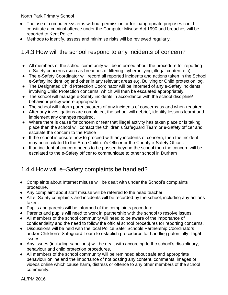- **●** The use of computer systems without permission or for inappropriate purposes could constitute a criminal offence under the Computer Misuse Act 1990 and breaches will be reported to Kent Police.
- **●** Methods to identify, assess and minimise risks will be reviewed regularly.

#### 1.4.3 How will the school respond to any incidents of concern?

- All members of the school community will be informed about the procedure for reporting e-Safety concerns (such as breaches of filtering, cyberbullying, illegal content etc).
- The e-Safety Coordinator will record all reported incidents and actions taken in the School e-Safety incident log and other in any relevant areas e.g. Bullying or Child protection log.
- The Designated Child Protection Coordinator will be informed of any e-Safety incidents involving Child Protection concerns, which will then be escalated appropriately.
- The school will manage e-Safety incidents in accordance with the school discipline/ behaviour policy where appropriate.
- The school will inform parents/carers of any incidents of concerns as and when required.
- After any investigations are completed, the school will debrief, identify lessons learnt and implement any changes required.
- Where there is cause for concern or fear that illegal activity has taken place or is taking place then the school will contact the Children's Safeguard Team or e-Safety officer and escalate the concern to the Police
- If the school is unsure how to proceed with any incidents of concern, then the incident may be escalated to the Area Children's Officer or the County e-Safety Officer.
- If an incident of concern needs to be passed beyond the school then the concern will be escalated to the e-Safety officer to communicate to other school in Durham

#### 1.4.4 How will e–Safety complaints be handled?

- **●** Complaints about Internet misuse will be dealt with under the School's complaints procedure.
- **●** Any complaint about staff misuse will be referred to the head teacher.
- **●** All e–Safety complaints and incidents will be recorded by the school, including any actions taken.
- **●** Pupils and parents will be informed of the complaints procedure.
- **●** Parents and pupils will need to work in partnership with the school to resolve issues.
- **●** All members of the school community will need to be aware of the importance of confidentiality and the need to follow the official school procedures for reporting concerns.
- **●** Discussions will be held with the local Police Safer Schools Partnership Coordinators and/or Children's Safeguard Team to establish procedures for handling potentially illegal issues.
- **●** Any issues (including sanctions) will be dealt with according to the school's disciplinary, behaviour and child protection procedures.
- **●** All members of the school community will be reminded about safe and appropriate behaviour online and the importance of not posting any content, comments, images or videos online which cause harm, distress or offence to any other members of the school community.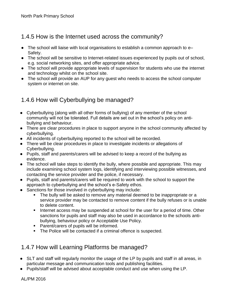### 1.4.5 How is the Internet used across the community?

- The school will liaise with local organisations to establish a common approach to e– Safety.
- The school will be sensitive to Internet-related issues experienced by pupils out of school, e.g. social networking sites, and offer appropriate advice.
- The school will provide appropriate levels of supervision for students who use the internet and technology whilst on the school site.
- The school will provide an AUP for any guest who needs to access the school computer system or internet on site.

## 1.4.6 How will Cyberbullying be managed?

- **●** Cyberbullying (along with all other forms of bullying) of any member of the school community will not be tolerated. Full details are set out in the school's policy on antibullying and behaviour.
- **●** There are clear procedures in place to support anyone in the school community affected by cyberbullying.
- **●** All incidents of cyberbullying reported to the school will be recorded.
- **●** There will be clear procedures in place to investigate incidents or allegations of Cyberbullying.
- **●** Pupils, staff and parents/carers will be advised to keep a record of the bullying as evidence.
- **●** The school will take steps to identify the bully, where possible and appropriate. This may include examining school system logs, identifying and interviewing possible witnesses, and contacting the service provider and the police, if necessary.
- **●** Pupils, staff and parents/carers will be required to work with the school to support the approach to cyberbullying and the school's e-Safety ethos.
- **●** Sanctions for those involved in cyberbullying may include:
	- The bully will be asked to remove any material deemed to be inappropriate or a service provider may be contacted to remove content if the bully refuses or is unable to delete content.
	- Internet access may be suspended at school for the user for a period of time. Other sanctions for pupils and staff may also be used in accordance to the schools antibullying, behaviour policy or Acceptable Use Policy.
	- **Parent/carers of pupils will be informed.**
	- **The Police will be contacted if a criminal offence is suspected.**

#### 1.4.7 How will Learning Platforms be managed?

- **●** SLT and staff will regularly monitor the usage of the LP by pupils and staff in all areas, in particular message and communication tools and publishing facilities.
- **●** Pupils/staff will be advised about acceptable conduct and use when using the LP.

AL/PM 2016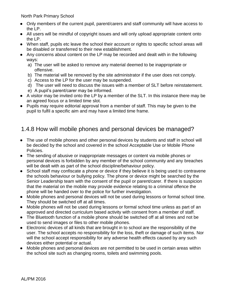- **●** Only members of the current pupil, parent/carers and staff community will have access to the LP.
- **●** All users will be mindful of copyright issues and will only upload appropriate content onto the LP.
- **●** When staff, pupils etc leave the school their account or rights to specific school areas will be disabled or transferred to their new establishment.
- **●** Any concerns about content on the LP may be recorded and dealt with in the following ways:
	- a) The user will be asked to remove any material deemed to be inappropriate or offensive.
	- b) The material will be removed by the site administrator if the user does not comply.
	- c) Access to the LP for the user may be suspended.
	- d) The user will need to discuss the issues with a member of SLT before reinstatement.
	- e) A pupil's parent/carer may be informed.
- **●** A visitor may be invited onto the LP by a member of the SLT. In this instance there may be an agreed focus or a limited time slot.
- **●** Pupils may require editorial approval from a member of staff. This may be given to the pupil to fulfil a specific aim and may have a limited time frame.

#### 1.4.8 How will mobile phones and personal devices be managed?

- **●** The use of mobile phones and other personal devices by students and staff in school will be decided by the school and covered in the school Acceptable Use or Mobile Phone Policies.
- **●** The sending of abusive or inappropriate messages or content via mobile phones or personal devices is forbidden by any member of the school community and any breaches will be dealt with as part of the school discipline/behaviour policy.
- **●** School staff may confiscate a phone or device if they believe it is being used to contravene the schools behaviour or bullying policy. The phone or device might be searched by the Senior Leadership team with the consent of the pupil or parent/carer. If there is suspicion that the material on the mobile may provide evidence relating to a criminal offence the phone will be handed over to the police for further investigation.
- **●** Mobile phones and personal devices will not be used during lessons or formal school time. They should be switched off at all times.
- **●** Mobile phones will not be used during lessons or formal school time unless as part of an approved and directed curriculum based activity with consent from a member of staff.
- **●** The Bluetooth function of a mobile phone should be switched off at all times and not be used to send images or files to other mobile phones.
- **●** Electronic devices of all kinds that are brought in to school are the responsibility of the user. The school accepts no responsibility for the loss, theft or damage of such items. Nor will the school accept responsibility for any adverse health effects caused by any such devices either potential or actual.
- **●** Mobile phones and personal devices are not permitted to be used in certain areas within the school site such as changing rooms, toilets and swimming pools.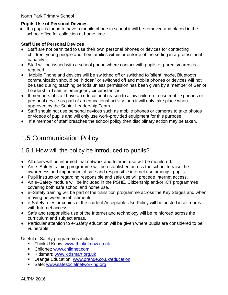#### **Pupils Use of Personal Devices**

**●** If a pupil is found to have a mobile phone in school it will be removed and placed in the school office for collection at home time.

#### **Staff Use of Personal Devices**

- Staff are not permitted to use their own personal phones or devices for contacting children, young people and their families within or outside of the setting in a professional capacity.
- Staff will be issued with a school phone where contact with pupils or parents/carers is required.
- Mobile Phone and devices will be switched off or switched to 'silent' mode, Bluetooth communication should be "hidden" or switched off and mobile phones or devices will not be used during teaching periods unless permission has been given by a member of Senior Leadership Team in emergency circumstances.
- If members of staff have an educational reason to allow children to use mobile phones or personal device as part of an educational activity then it will only take place when approved by the Senior Leadership Team.
- Staff should not use personal devices such as mobile phones or cameras to take photos or videos of pupils and will only use work-provided equipment for this purpose.
- If a member of staff breaches the school policy then disciplinary action may be taken.

## 1.5 Communication Policy

#### 1.5.1 How will the policy be introduced to pupils?

- **●** All users will be informed that network and Internet use will be monitored.
- **●** An e–Safety training programme will be established across the school to raise the awareness and importance of safe and responsible internet use amongst pupils.
- Pupil instruction regarding responsible and safe use will precede Internet access.
- An e–Safety module will be included in the PSHE, Citizenship and/or ICT programmes covering both safe school and home use.
- e–Safety training will be part of the transition programme across the Key Stages and when moving between establishments.
- e-Safety rules or copies of the student Acceptable Use Policy will be posted in all rooms with Internet access.
- Safe and responsible use of the Internet and technology will be reinforced across the curriculum and subject areas.
- Particular attention to e-Safety education will be given where pupils are considered to be vulnerable.

Useful e–Safety programmes include:

- **Think U Know: [www.thinkuknow.co.uk](http://www.thinkuknow.co.uk/)**
- **Childnet: [www.childnet.com](http://www.childnet.com/)**
- Kidsmart: [www.kidsmart.org.uk](http://www.kidsmart.org.uk/)
- **Orange Education: [www.orange.co.uk/education](http://www.orange.co.uk/education)**
- Safe: [www.safesocialnetworking.org](http://www.safesocialnetworking.org/)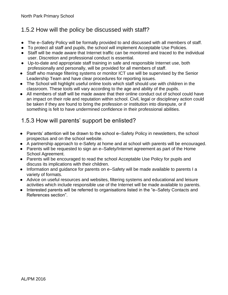### 1.5.2 How will the policy be discussed with staff?

- **●** The e–Safety Policy will be formally provided to and discussed with all members of staff.
- **●** To protect all staff and pupils, the school will implement Acceptable Use Policies.
- **●** Staff will be made aware that Internet traffic can be monitored and traced to the individual user. Discretion and professional conduct is essential.
- **●** Up-to-date and appropriate staff training in safe and responsible Internet use, both professionally and personally, will be provided for all members of staff.
- **●** Staff who manage filtering systems or monitor ICT use will be supervised by the Senior Leadership Team and have clear procedures for reporting issues.
- **●** The School will highlight useful online tools which staff should use with children in the classroom. These tools will vary according to the age and ability of the pupils.
- **●** All members of staff will be made aware that their online conduct out of school could have an impact on their role and reputation within school. Civil, legal or disciplinary action could be taken if they are found to bring the profession or institution into disrepute, or if something is felt to have undermined confidence in their professional abilities.

#### 1.5.3 How will parents' support be enlisted?

- **●** Parents' attention will be drawn to the school e–Safety Policy in newsletters, the school prospectus and on the school website.
- **●** A partnership approach to e-Safety at home and at school with parents will be encouraged.
- **●** Parents will be requested to sign an e–Safety/Internet agreement as part of the Home School Agreement.
- **●** Parents will be encouraged to read the school Acceptable Use Policy for pupils and discuss its implications with their children.
- **●** Information and guidance for parents on e–Safety will be made available to parents I a variety of formats.
- **●** Advice on useful resources and websites, filtering systems and educational and leisure activities which include responsible use of the Internet will be made available to parents.
- **●** Interested parents will be referred to organisations listed in the "e–Safety Contacts and References section".